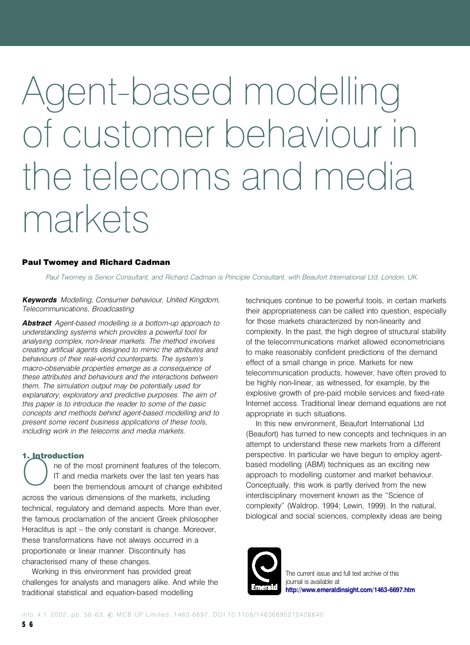# Agent-based modelling of customer behaviour in the telecoms and media markets

# **Paul Twomey and Richard Cadman**

Paul Twomey is Senior Consultant, and Richard Cadman is Principle Consultant, with Beaufort International Ltd, London, UK.

*Keywords Modelling, Consumer behaviour, United Kingdom, Telecommunications, Broadcasting*

*Abstract Agent-based modelling is a bottom-up approach to understanding systems which provides a powerful tool for analysing complex, non-linear markets. The method involves creating artificial agents designed to mimic the attributes and behaviours of their real-world counterparts. The system's macro-observable properties emerge as a consequence of these attributes and behaviours and the interactions between them. The simulation output may be potentially used for explanatory, exploratory and predictive purposes. The aim of this paper is to introduce the reader to some of the basic concepts and methods behind agent-based modelling and to present some recent business applications of these tools, including work in the telecoms and media markets.*

**1. Introduction**<br>
I and media markets over the last ten years has<br>
been the tremendous amount of change exhibited ne of the most prominent features of the telecom, IT and media markets over the last ten years has across the various dimensions of the markets, including technical, regulatory and demand aspects. More than ever, the famous proclamation of the ancient Greek philosopher Heraclitus is apt  $-$  the only constant is change. Moreover, these transformations have not always occurred in a proportionate or linear manner. Discontinuity has characterised many of these changes.

Working in this environment has provided great challenges for analysts and managers alike. And while the traditional statistical and equation-based modelling

techniques continue to be powerful tools, in certain markets their appropriateness can be called into question, especially for those markets characterized by non-linearity and complexity. In the past, the high degree of structural stability of the telecommunications market allowed econometricians to make reasonably confident predictions of the demand effect of a small change in price. Markets for new telecommunication products, however, have often proved to be highly non-linear, as witnessed, for example, by the explosive growth of pre-paid mobile services and fixed-rate Internet access. Traditional linear demand equations are not appropriate in such situations.

In this new environment, Beaufort International Ltd (Beaufort) has turned to new concepts and techniques in an attempt to understand these new markets from a different perspective. In particular we have begun to employ agentbased modelling (ABM) techniques as an exciting new approach to modelling customer and market behaviour. Conceptually, this work is partly derived from the new interdisciplinary movement known as the "Science of complexity'' (Waldrop, 1994; Lewin, 1999). In the natural, biological and social sciences, complexity ideas are being



The current issue and full text archive of this journal is available at **<http://www.emeraldinsight.com/1463-6697.htm>**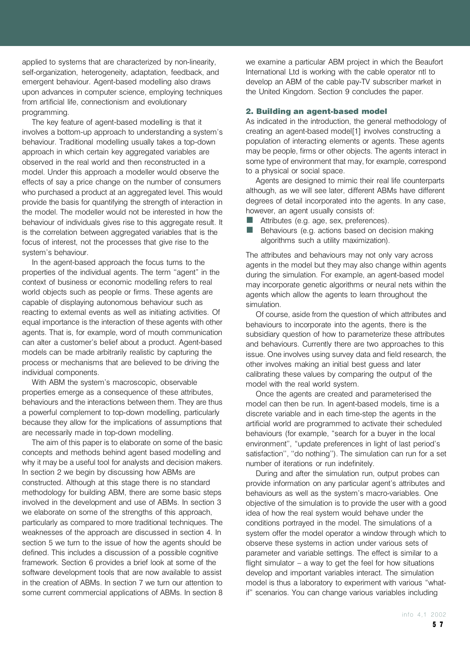applied to systems that are characterized by non-linearity, self-organization, heterogeneity, adaptation, feedback, and emergent behaviour. Agent-based modelling also draws upon advances in computer science, employing techniques from artificial life, connectionism and evolutionary programming.

The key feature of agent-based modelling is that it involves a bottom-up approach to understanding a system's behaviour. Traditional modelling usually takes a top-down approach in which certain key aggregated variables are observed in the real world and then reconstructed in a model. Under this approach a modeller would observe the effects of say a price change on the number of consumers who purchased a product at an aggregated level. This would provide the basis for quantifying the strength of interaction in the model. The modeller would not be interested in how the behaviour of individuals gives rise to this aggregate result. It is the correlation between aggregated variables that is the focus of interest, not the processes that give rise to the system's behaviour.

In the agent-based approach the focus turns to the properties of the individual agents. The term "agent" in the context of business or economic modelling refers to real world objects such as people or firms. These agents are capable of displaying autonomous behaviour such as reacting to external events as well as initiating activities. Of equal importance is the interaction of these agents with other agents. That is, for example, word of mouth communication can alter a customer's belief about a product. Agent-based models can be made arbitrarily realistic by capturing the process or mechanisms that are believed to be driving the individual components.

With ABM the system's macroscopic, observable properties emerge as a consequence of these attributes, behaviours and the interactions between them. They are thus a powerful complement to top-down modelling, particularly because they allow for the implications of assumptions that are necessarily made in top-down modelling.

The aim of this paper is to elaborate on some of the basic concepts and methods behind agent based modelling and why it may be a useful tool for analysts and decision makers. In section 2 we begin by discussing how ABMs are constructed. Although at this stage there is no standard methodology for building ABM, there are some basic steps involved in the development and use of ABMs. In section 3 we elaborate on some of the strengths of this approach, particularly as compared to more traditional techniques. The weaknesses of the approach are discussed in section 4. In section 5 we turn to the issue of how the agents should be defined. This includes a discussion of a possible cognitive framework. Section 6 provides a brief look at some of the software development tools that are now available to assist in the creation of ABMs. In section 7 we turn our attention to some current commercial applications of ABMs. In section 8

we examine a particular ABM project in which the Beaufort International Ltd is working with the cable operator ntl to develop an ABM of the cable pay-TV subscriber market in the United Kingdom. Section 9 concludes the paper.

# **2. Building an agent-based model**

As indicated in the introduction, the general methodology of creating an agent-based model[1] involves constructing a population of interacting elements or agents. These agents may be people, firms or other objects. The agents interact in some type of environment that may, for example, correspond to a physical or social space.

Agents are designed to mimic their real life counterparts although, as we will see later, different ABMs have different degrees of detail incorporated into the agents. In any case, however, an agent usually consists of:

- **Attributes (e.g. age, sex, preferences).**
- Behaviours (e.g. actions based on decision making algorithms such a utility maximization).

The attributes and behaviours may not only vary across agents in the model but they may also change within agents during the simulation. For example, an agent-based model may incorporate genetic algorithms or neural nets within the agents which allow the agents to learn throughout the simulation.

Of course, aside from the question of which attributes and behaviours to incorporate into the agents, there is the subsidiary question of how to parameterize these attributes and behaviours. Currently there are two approaches to this issue. One involves using survey data and field research, the other involves making an initial best guess and later calibrating these values by comparing the output of the model with the real world system.

Once the agents are created and parameterised the model can then be run. In agent-based models, time is a discrete variable and in each time-step the agents in the artificial world are programmed to activate their scheduled behaviours (for example, "search for a buyer in the local environment", "update preferences in light of last period's satisfaction", "do nothing"). The simulation can run for a set number of iterations or run indefinitely.

During and after the simulation run, output probes can provide information on any particular agent's attributes and behaviours as well as the system's macro-variables. One objective of the simulation is to provide the user with a good idea of how the real system would behave under the conditions portrayed in the model. The simulations of a system offer the model operator a window through which to observe these systems in action under various sets of parameter and variable settings. The effect is similar to a flight simulator  $-$  a way to get the feel for how situations develop and important variables interact. The simulation model is thus a laboratory to experiment with various "whatif'' scenarios. You can change various variables including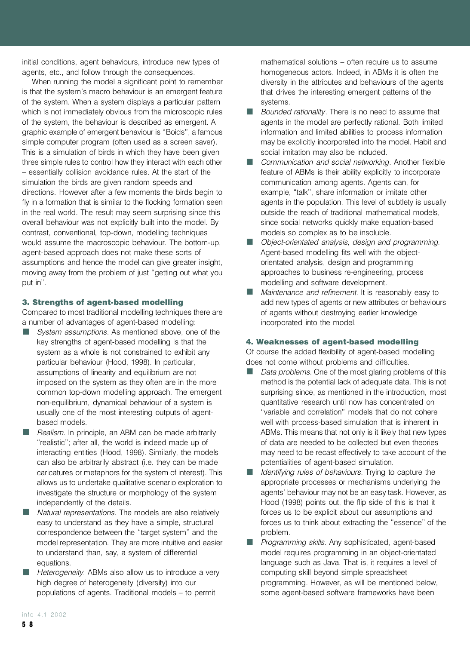initial conditions, agent behaviours, introduce new types of agents, etc., and follow through the consequences.

When running the model a significant point to remember is that the system's macro behaviour is an emergent feature of the system. When a system displays a particular pattern which is not immediately obvious from the microscopic rules of the system, the behaviour is described as emergent. A graphic example of emergent behaviour is "Boids", a famous simple computer program (often used as a screen saver). This is a simulation of birds in which they have been given three simple rules to control how they interact with each other - essentially collision avoidance rules. At the start of the simulation the birds are given random speeds and directions. However after a few moments the birds begin to fly in a formation that is similar to the flocking formation seen in the real world. The result may seem surprising since this overall behaviour was not explicitly built into the model. By contrast, conventional, top-down, modelling techniques would assume the macroscopic behaviour. The bottom-up, agent-based approach does not make these sorts of assumptions and hence the model can give greater insight, moving away from the problem of just "getting out what you put in''.

# **3. Strengths of agent-based modelling**

Compared to most traditional modelling techniques there are a number of advantages of agent-based modelling:

- & *System assumptions*. As mentioned above, one of the key strengths of agent-based modelling is that the system as a whole is not constrained to exhibit any particular behaviour (Hood, 1998). In particular, assumptions of linearity and equilibrium are not imposed on the system as they often are in the more common top-down modelling approach. The emergent non-equilibrium, dynamical behaviour of a system is usually one of the most interesting outputs of agentbased models.
- **E** Realism. In principle, an ABM can be made arbitrarily "realistic"; after all, the world is indeed made up of interacting entities (Hood, 1998). Similarly, the models can also be arbitrarily abstract (i.e. they can be made caricatures or metaphors for the system of interest). This allows us to undertake qualitative scenario exploration to investigate the structure or morphology of the system independently of the details.
- *Natural representations*. The models are also relatively easy to understand as they have a simple, structural correspondence between the "target system" and the model representation. They are more intuitive and easier to understand than, say, a system of differential equations.
- **E** *Heterogeneity*. ABMs also allow us to introduce a very high degree of heterogeneity (diversity) into our populations of agents. Traditional models  $-$  to permit

mathematical solutions  $-$  often require us to assume homogeneous actors. Indeed, in ABMs it is often the diversity in the attributes and behaviours of the agents that drives the interesting emergent patterns of the systems.

- **Bounded rationality. There is no need to assume that** agents in the model are perfectly rational. Both limited information and limited abilities to process information may be explicitly incorporated into the model. Habit and social imitation may also be included.
- & *Communication and social networking*. Another flexible feature of ABMs is their ability explicitly to incorporate communication among agents. Agents can, for example, "talk", share information or imitate other agents in the population. This level of subtlety is usually outside the reach of traditional mathematical models, since social networks quickly make equation-based models so complex as to be insoluble.
- & *Object-orientated analysis, design and programming*. Agent-based modelling fits well with the objectorientated analysis, design and programming approaches to business re-engineering, process modelling and software development.
- **Maintenance and refinement. It is reasonably easy to** add new types of agents or new attributes or behaviours of agents without destroying earlier knowledge incorporated into the model.

# **4. Weaknesses of agent-based modelling**

Of course the added flexibility of agent-based modelling does not come without problems and difficulties.

- & *Data problems*. One of the most glaring problems of this method is the potential lack of adequate data. This is not surprising since, as mentioned in the introduction, most quantitative research until now has concentrated on "variable and correlation" models that do not cohere well with process-based simulation that is inherent in ABMs. This means that not only is it likely that new types of data are needed to be collected but even theories may need to be recast effectively to take account of the potentialities of agent-based simulation.
- & *Identifying rules of behaviours*. Trying to capture the appropriate processes or mechanisms underlying the agents' behaviour may not be an easy task. However, as Hood (1998) points out, the flip side of this is that it forces us to be explicit about our assumptions and forces us to think about extracting the "essence" of the problem.
- **Programming skills. Any sophisticated, agent-based** model requires programming in an object-orientated language such as Java. That is, it requires a level of computing skill beyond simple spreadsheet programming. However, as will be mentioned below, some agent-based software frameworks have been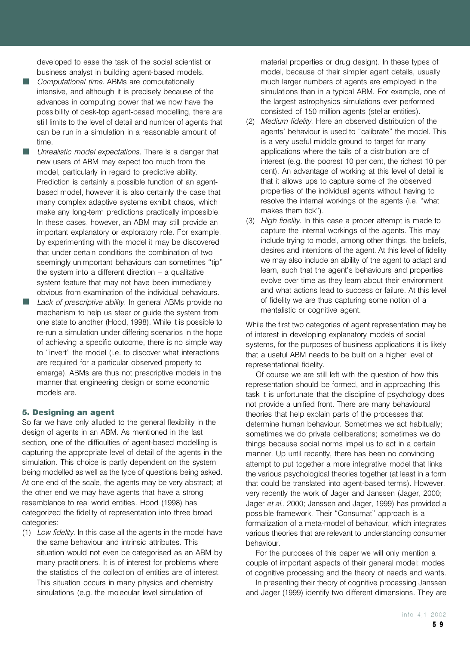developed to ease the task of the social scientist or business analyst in building agent-based models.

- *Computational time*. ABMs are computationally intensive, and although it is precisely because of the advances in computing power that we now have the possibility of desk-top agent-based modelling, there are still limits to the level of detail and number of agents that can be run in a simulation in a reasonable amount of time.
- & *Unrealistic model expectations*. There is a danger that new users of ABM may expect too much from the model, particularly in regard to predictive ability. Prediction is certainly a possible function of an agentbased model, however it is also certainly the case that many complex adaptive systems exhibit chaos, which make any long-term predictions practically impossible. In these cases, however, an ABM may still provide an important explanatory or exploratory role. For example, by experimenting with the model it may be discovered that under certain conditions the combination of two seemingly unimportant behaviours can sometimes "tip" the system into a different direction  $-$  a qualitative system feature that may not have been immediately obvious from examination of the individual behaviours.
- *Lack of prescriptive ability*. In general ABMs provide no mechanism to help us steer or guide the system from one state to another (Hood, 1998). While it is possible to re-run a simulation under differing scenarios in the hope of achieving a specific outcome, there is no simple way to "invert" the model (i.e. to discover what interactions are required for a particular observed property to emerge). ABMs are thus not prescriptive models in the manner that engineering design or some economic models are.

# **5. Designing an agent**

So far we have only alluded to the general flexibility in the design of agents in an ABM. As mentioned in the last section, one of the difficulties of agent-based modelling is capturing the appropriate level of detail of the agents in the simulation. This choice is partly dependent on the system being modelled as well as the type of questions being asked. At one end of the scale, the agents may be very abstract; at the other end we may have agents that have a strong resemblance to real world entities. Hood (1998) has categorized the fidelity of representation into three broad categories:

(1) *Low fidelity*. In this case all the agents in the model have the same behaviour and intrinsic attributes. This situation would not even be categorised as an ABM by many practitioners. It is of interest for problems where the statistics of the collection of entities are of interest. This situation occurs in many physics and chemistry simulations (e.g. the molecular level simulation of

material properties or drug design). In these types of model, because of their simpler agent details, usually much larger numbers of agents are employed in the simulations than in a typical ABM. For example, one of the largest astrophysics simulations ever performed consisted of 150 million agents (stellar entities).

- (2) *Medium fidelity*. Here an observed distribution of the agents' behaviour is used to "calibrate" the model. This is a very useful middle ground to target for many applications where the tails of a distribution are of interest (e.g. the poorest 10 per cent, the richest 10 per cent). An advantage of working at this level of detail is that it allows ups to capture some of the observed properties of the individual agents without having to resolve the internal workings of the agents (i.e. "what makes them tick'').
- (3) *High fidelity*. In this case a proper attempt is made to capture the internal workings of the agents. This may include trying to model, among other things, the beliefs, desires and intentions of the agent. At this level of fidelity we may also include an ability of the agent to adapt and learn, such that the agent's behaviours and properties evolve over time as they learn about their environment and what actions lead to success or failure. At this level of fidelity we are thus capturing some notion of a mentalistic or cognitive agent.

While the first two categories of agent representation may be of interest in developing explanatory models of social systems, for the purposes of business applications it is likely that a useful ABM needs to be built on a higher level of representational fidelity.

Of course we are still left with the question of how this representation should be formed, and in approaching this task it is unfortunate that the discipline of psychology does not provide a unified front. There are many behavioural theories that help explain parts of the processes that determine human behaviour. Sometimes we act habitually; sometimes we do private deliberations; sometimes we do things because social norms impel us to act in a certain manner. Up until recently, there has been no convincing attempt to put together a more integrative model that links the various psychological theories together (at least in a form that could be translated into agent-based terms). However, very recently the work of Jager and Janssen (Jager, 2000; Jager *et al*., 2000; Janssen and Jager, 1999) has provided a possible framework. Their "Consumat" approach is a formalization of a meta-model of behaviour, which integrates various theories that are relevant to understanding consumer behaviour.

For the purposes of this paper we will only mention a couple of important aspects of their general model: modes of cognitive processing and the theory of needs and wants.

In presenting their theory of cognitive processing Janssen and Jager (1999) identify two different dimensions. They are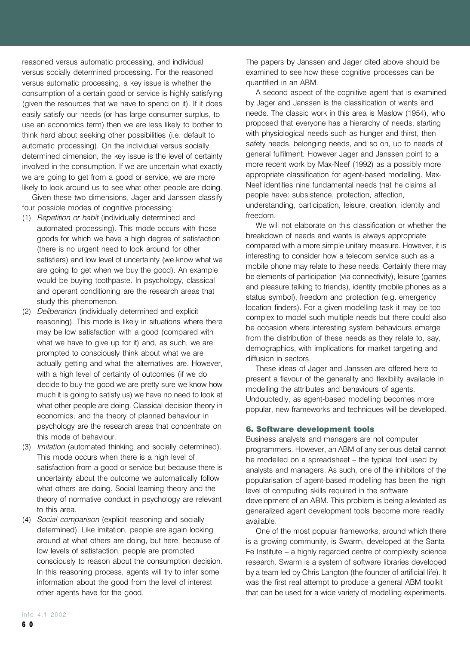reasoned versus automatic processing, and individual versus socially determined processing. For the reasoned versus automatic processing, a key issue is whether the consumption of a certain good or service is highly satisfying (given the resources that we have to spend on it). If it does easily satisfy our needs (or has large consumer surplus, to use an economics term) then we are less likely to bother to think hard about seeking other possibilities (i.e. default to automatic processing). On the individual versus socially determined dimension, the key issue is the level of certainty involved in the consumption. If we are uncertain what exactly we are going to get from a good or service, we are more likely to look around us to see what other people are doing.

Given these two dimensions, Jager and Janssen classify four possible modes of cognitive processing:

- (1) *Repetition or habit* (individually determined and automated processing). This mode occurs with those goods for which we have a high degree of satisfaction (there is no urgent need to look around for other satisfiers) and low level of uncertainty (we know what we are going to get when we buy the good). An example would be buying toothpaste. In psychology, classical and operant conditioning are the research areas that study this phenomenon.
- (2) *Deliberation* (individually determined and explicit reasoning). This mode is likely in situations where there may be low satisfaction with a good (compared with what we have to give up for it) and, as such, we are prompted to consciously think about what we are actually getting and what the alternatives are. However, with a high level of certainty of outcomes (if we do decide to buy the good we are pretty sure we know how much it is going to satisfy us) we have no need to look at what other people are doing. Classical decision theory in economics, and the theory of planned behaviour in psychology are the research areas that concentrate on this mode of behaviour.
- (3) *Imitation* (automated thinking and socially determined). This mode occurs when there is a high level of satisfaction from a good or service but because there is uncertainty about the outcome we automatically follow what others are doing. Social learning theory and the theory of normative conduct in psychology are relevant to this area.
- (4) *Social comparison* (explicit reasoning and socially determined). Like imitation, people are again looking around at what others are doing, but here, because of low levels of satisfaction, people are prompted consciously to reason about the consumption decision. In this reasoning process, agents will try to infer some information about the good from the level of interest other agents have for the good.

The papers by Janssen and Jager cited above should be examined to see how these cognitive processes can be quantified in an ABM.

A second aspect of the cognitive agent that is examined by Jager and Janssen is the classification of wants and needs. The classic work in this area is Maslow (1954), who proposed that everyone has a hierarchy of needs, starting with physiological needs such as hunger and thirst, then safety needs, belonging needs, and so on, up to needs of general fulfilment. However Jager and Janssen point to a more recent work by Max-Neef (1992) as a possibly more appropriate classification for agent-based modelling. Max-Neef identifies nine fundamental needs that he claims all people have: subsistence, protection, affection, understanding, participation, leisure, creation, identity and freedom.

We will not elaborate on this classification or whether the breakdown of needs and wants is always appropriate compared with a more simple unitary measure. However, it is interesting to consider how a telecom service such as a mobile phone may relate to these needs. Certainly there may be elements of participation (via connectivity), leisure (games and pleasure talking to friends), identity (mobile phones as a status symbol), freedom and protection (e.g. emergency location finders). For a given modelling task it may be too complex to model such multiple needs but there could also be occasion where interesting system behaviours emerge from the distribution of these needs as they relate to, say, demographics, with implications for market targeting and diffusion in sectors.

These ideas of Jager and Janssen are offered here to present a flavour of the generality and flexibility available in modelling the attributes and behaviours of agents. Undoubtedly, as agent-based modelling becomes more popular, new frameworks and techniques will be developed.

# **6. Software development tools**

Business analysts and managers are not computer programmers. However, an ABM of any serious detail cannot be modelled on a spreadsheet  $-$  the typical tool used by analysts and managers. As such, one of the inhibitors of the popularisation of agent-based modelling has been the high level of computing skills required in the software development of an ABM. This problem is being alleviated as generalized agent development tools become more readily available.

One of the most popular frameworks, around which there is a growing community, is Swarm, developed at the Santa Fe Institute  $-$  a highly regarded centre of complexity science research. Swarm is a system of software libraries developed by a team led by Chris Langton (the founder of artificial life). It was the first real attempt to produce a general ABM toolkit that can be used for a wide variety of modelling experiments.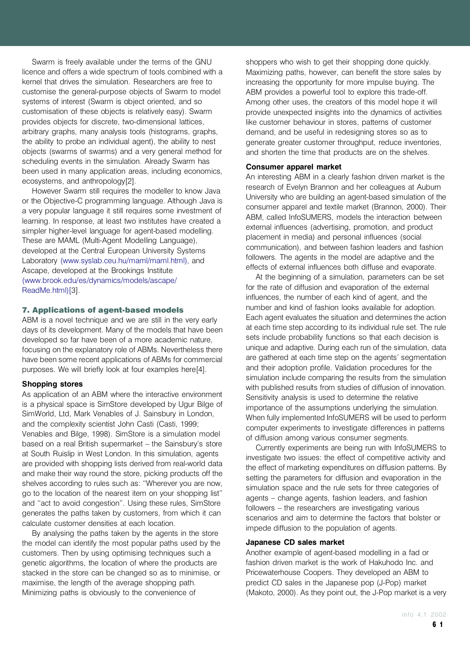Swarm is freely available under the terms of the GNU licence and offers a wide spectrum of tools combined with a kernel that drives the simulation. Researchers are free to customise the general-purpose objects of Swarm to model systems of interest (Swarm is object oriented, and so customisation of these objects is relatively easy). Swarm provides objects for discrete, two-dimensional lattices, arbitrary graphs, many analysis tools (histograms, graphs, the ability to probe an individual agent), the ability to nest objects (swarms of swarms) and a very general method for scheduling events in the simulation. Already Swarm has been used in many application areas, including economics, ecosystems, and anthropology[2].

However Swarm still requires the modeller to know Java or the Objective-C programming language. Although Java is a very popular language it still requires some investment of learning. In response, at least two institutes have created a simpler higher-level language for agent-based modelling. These are MAML (Multi-Agent Modelling Language), developed at the Central European University Systems Laboratory [\(www.syslab.ceu.hu/maml/maml.html\),](http://www.syslab.ceu.hu/maml/maml.html) and Ascape, developed at the Brookings Institute [\(www.brook.edu/es/dynamics/models/ascape/](http://www.brook.edu/es/dynamics/models/ascape/ReadMe.html) [ReadMe.html\)](http://www.brook.edu/es/dynamics/models/ascape/ReadMe.html)[3].

# **7. Applications of agent-based models**

ABM is a novel technique and we are still in the very early days of its development. Many of the models that have been developed so far have been of a more academic nature, focusing on the explanatory role of ABMs. Nevertheless there have been some recent applications of ABMs for commercial purposes. We will briefly look at four examples here[4].

### **Shopping stores**

As application of an ABM where the interactive environment is a physical space is SimStore developed by Ugur Bilge of SimWorld, Ltd, Mark Venables of J. Sainsbury in London, and the complexity scientist John Casti (Casti, 1999; Venables and Bilge, 1998). SimStore is a simulation model based on a real British supermarket - the Sainsbury's store at South Ruislip in West London. In this simulation, agents are provided with shopping lists derived from real-world data and make their way round the store, picking products off the shelves according to rules such as: "Wherever you are now, go to the location of the nearest item on your shopping list'' and "act to avoid congestion". Using these rules, SimStore generates the paths taken by customers, from which it can calculate customer densities at each location.

By analysing the paths taken by the agents in the store the model can identify the most popular paths used by the customers. Then by using optimising techniques such a genetic algorithms, the location of where the products are stacked in the store can be changed so as to minimise, or maximise, the length of the average shopping path. Minimizing paths is obviously to the convenience of

shoppers who wish to get their shopping done quickly. Maximizing paths, however, can benefit the store sales by increasing the opportunity for more impulse buying. The ABM provides a powerful tool to explore this trade-off. Among other uses, the creators of this model hope it will provide unexpected insights into the dynamics of activities like customer behaviour in stores, patterns of customer demand, and be useful in redesigning stores so as to generate greater customer throughput, reduce inventories, and shorten the time that products are on the shelves.

### **Consumer apparel market**

An interesting ABM in a clearly fashion driven market is the research of Evelyn Brannon and her colleagues at Auburn University who are building an agent-based simulation of the consumer apparel and textile market (Brannon, 2000). Their ABM, called InfoSUMERS, models the interaction between external influences (advertising, promotion, and product placement in media) and personal influences (social communication), and between fashion leaders and fashion followers. The agents in the model are adaptive and the effects of external influences both diffuse and evaporate.

At the beginning of a simulation, parameters can be set for the rate of diffusion and evaporation of the external influences, the number of each kind of agent, and the number and kind of fashion looks available for adoption. Each agent evaluates the situation and determines the action at each time step according to its individual rule set. The rule sets include probability functions so that each decision is unique and adaptive. During each run of the simulation, data are gathered at each time step on the agents' segmentation and their adoption profile. Validation procedures for the simulation include comparing the results from the simulation with published results from studies of diffusion of innovation. Sensitivity analysis is used to determine the relative importance of the assumptions underlying the simulation. When fully implemented InfoSUMERS will be used to perform computer experiments to investigate differences in patterns of diffusion among various consumer segments.

Currently experiments are being run with InfoSUMERS to investigate two issues: the effect of competitive activity and the effect of marketing expenditures on diffusion patterns. By setting the parameters for diffusion and evaporation in the simulation space and the rule sets for three categories of agents - change agents, fashion leaders, and fashion followers – the researchers are investigating various scenarios and aim to determine the factors that bolster or impede diffusion to the population of agents.

# **Japanese CD sales market**

Another example of agent-based modelling in a fad or fashion driven market is the work of Hakuhodo Inc. and Pricewaterhouse Coopers. They developed an ABM to predict CD sales in the Japanese pop (J-Pop) market (Makoto, 2000). As they point out, the J-Pop market is a very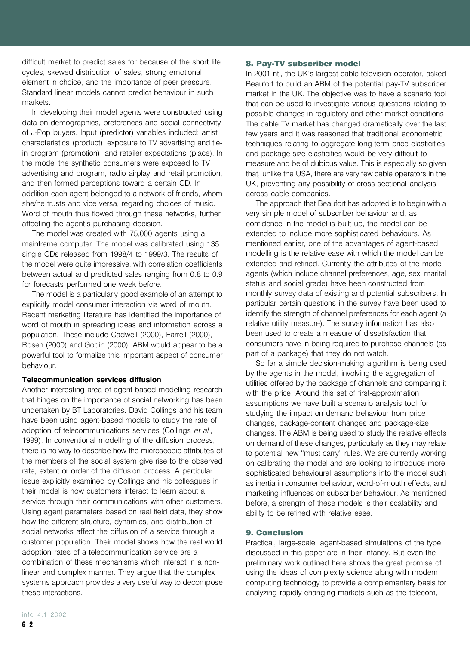difficult market to predict sales for because of the short life cycles, skewed distribution of sales, strong emotional element in choice, and the importance of peer pressure. Standard linear models cannot predict behaviour in such markets.

In developing their model agents were constructed using data on demographics, preferences and social connectivity of J-Pop buyers. Input (predictor) variables included: artist characteristics (product), exposure to TV advertising and tiein program (promotion), and retailer expectations (place). In the model the synthetic consumers were exposed to TV advertising and program, radio airplay and retail promotion, and then formed perceptions toward a certain CD. In addition each agent belonged to a network of friends, whom she/he trusts and vice versa, regarding choices of music. Word of mouth thus flowed through these networks, further affecting the agent's purchasing decision.

The model was created with 75,000 agents using a mainframe computer. The model was calibrated using 135 single CDs released from 1998/4 to 1999/3. The results of the model were quite impressive, with correlation coefficients between actual and predicted sales ranging from 0.8 to 0.9 for forecasts performed one week before.

The model is a particularly good example of an attempt to explicitly model consumer interaction via word of mouth. Recent marketing literature has identified the importance of word of mouth in spreading ideas and information across a population. These include Cadwell (2000), Farrell (2000), Rosen (2000) and Godin (2000). ABM would appear to be a powerful tool to formalize this important aspect of consumer behaviour.

# **Telecommunication services diffusion**

Another interesting area of agent-based modelling research that hinges on the importance of social networking has been undertaken by BT Laboratories. David Collings and his team have been using agent-based models to study the rate of adoption of telecommunications services (Collings *et al*., 1999). In conventional modelling of the diffusion process, there is no way to describe how the microscopic attributes of the members of the social system give rise to the observed rate, extent or order of the diffusion process. A particular issue explicitly examined by Collings and his colleagues in their model is how customers interact to learn about a service through their communications with other customers. Using agent parameters based on real field data, they show how the different structure, dynamics, and distribution of social networks affect the diffusion of a service through a customer population. Their model shows how the real world adoption rates of a telecommunication service are a combination of these mechanisms which interact in a nonlinear and complex manner. They argue that the complex systems approach provides a very useful way to decompose these interactions.

In 2001 ntl, the UK's largest cable television operator, asked Beaufort to build an ABM of the potential pay-TV subscriber market in the UK. The objective was to have a scenario tool that can be used to investigate various questions relating to possible changes in regulatory and other market conditions. The cable TV market has changed dramatically over the last few years and it was reasoned that traditional econometric techniques relating to aggregate long-term price elasticities and package-size elasticities would be very difficult to measure and be of dubious value. This is especially so given that, unlike the USA, there are very few cable operators in the UK, preventing any possibility of cross-sectional analysis across cable companies.

The approach that Beaufort has adopted is to begin with a very simple model of subscriber behaviour and, as confidence in the model is built up, the model can be extended to include more sophisticated behaviours. As mentioned earlier, one of the advantages of agent-based modelling is the relative ease with which the model can be extended and refined. Currently the attributes of the model agents (which include channel preferences, age, sex, marital status and social grade) have been constructed from monthly survey data of existing and potential subscribers. In particular certain questions in the survey have been used to identify the strength of channel preferences for each agent (a relative utility measure). The survey information has also been used to create a measure of dissatisfaction that consumers have in being required to purchase channels (as part of a package) that they do not watch.

So far a simple decision-making algorithm is being used by the agents in the model, involving the aggregation of utilities offered by the package of channels and comparing it with the price. Around this set of first-approximation assumptions we have built a scenario analysis tool for studying the impact on demand behaviour from price changes, package-content changes and package-size changes. The ABM is being used to study the relative effects on demand of these changes, particularly as they may relate to potential new "must carry" rules. We are currently working on calibrating the model and are looking to introduce more sophisticated behavioural assumptions into the model such as inertia in consumer behaviour, word-of-mouth effects, and marketing influences on subscriber behaviour. As mentioned before, a strength of these models is their scalability and ability to be refined with relative ease.

# **9. Conclusion**

Practical, large-scale, agent-based simulations of the type discussed in this paper are in their infancy. But even the preliminary work outlined here shows the great promise of using the ideas of complexity science along with modern computing technology to provide a complementary basis for analyzing rapidly changing markets such as the telecom,